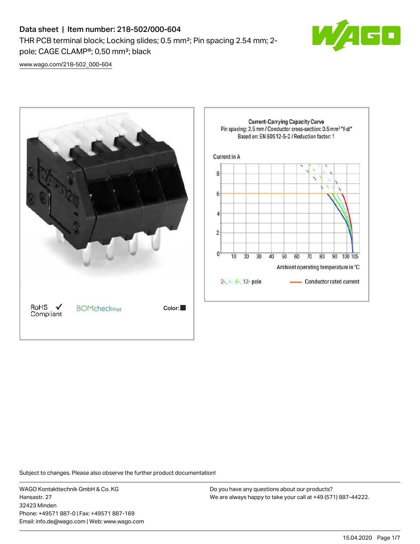# Data sheet | Item number: 218-502/000-604

THR PCB terminal block; Locking slides; 0.5 mm²; Pin spacing 2.54 mm; 2 pole; CAGE CLAMP®; 0,50 mm²; black



[www.wago.com/218-502\\_000-604](http://www.wago.com/218-502_000-604)



Subject to changes. Please also observe the further product documentation!

WAGO Kontakttechnik GmbH & Co. KG Hansastr. 27 32423 Minden Phone: +49571 887-0 | Fax: +49571 887-169 Email: info.de@wago.com | Web: www.wago.com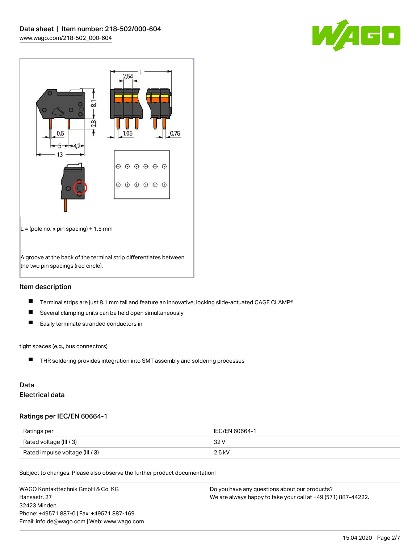



### Item description

- $\blacksquare$ Terminal strips are just 8.1 mm tall and feature an innovative, locking slide-actuated CAGE CLAMP®
- $\blacksquare$ Several clamping units can be held open simultaneously
- $\blacksquare$ Easily terminate stranded conductors in

#### tight spaces (e.g., bus connectors)

THR soldering provides integration into SMT assembly and soldering processes

## Data Electrical data

### Ratings per IEC/EN 60664-1

| Ratings per                     | IEC/EN 60664-1 |
|---------------------------------|----------------|
| Rated voltage (III / 3)         | 32 V           |
| Rated impulse voltage (III / 3) | $2.5$ kV       |

Subject to changes. Please also observe the further product documentation!

| WAGO Kontakttechnik GmbH & Co. KG           | Do you have any questions about our products?                 |
|---------------------------------------------|---------------------------------------------------------------|
| Hansastr. 27                                | We are always happy to take your call at +49 (571) 887-44222. |
| 32423 Minden                                |                                                               |
| Phone: +49571 887-0   Fax: +49571 887-169   |                                                               |
| Email: info.de@wago.com   Web: www.wago.com |                                                               |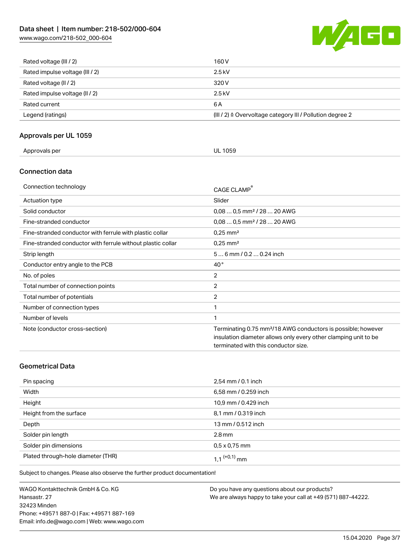# Data sheet | Item number: 218-502/000-604

[www.wago.com/218-502\\_000-604](http://www.wago.com/218-502_000-604)



| Rated voltage (III / 2)         | 160 V                                                                |
|---------------------------------|----------------------------------------------------------------------|
| Rated impulse voltage (III / 2) | $2.5$ kV                                                             |
| Rated voltage (II / 2)          | 320 V                                                                |
| Rated impulse voltage (II / 2)  | $2.5$ kV                                                             |
| Rated current                   | 6 A                                                                  |
| Legend (ratings)                | (III / 2) $\triangleq$ Overvoltage category III / Pollution degree 2 |

### Approvals per UL 1059

| Approvals per<br><b>UL 1059</b> |  |
|---------------------------------|--|
|---------------------------------|--|

### Connection data

| Connection technology                                       | CAGE CLAMP®                                                                                                                                                                         |
|-------------------------------------------------------------|-------------------------------------------------------------------------------------------------------------------------------------------------------------------------------------|
| Actuation type                                              | Slider                                                                                                                                                                              |
| Solid conductor                                             | $0.080.5$ mm <sup>2</sup> / 28  20 AWG                                                                                                                                              |
| Fine-stranded conductor                                     | $0.080.5$ mm <sup>2</sup> / 28  20 AWG                                                                                                                                              |
| Fine-stranded conductor with ferrule with plastic collar    | $0.25$ mm <sup>2</sup>                                                                                                                                                              |
| Fine-stranded conductor with ferrule without plastic collar | $0.25$ mm <sup>2</sup>                                                                                                                                                              |
| Strip length                                                | $56$ mm / 0.2  0.24 inch                                                                                                                                                            |
| Conductor entry angle to the PCB                            | $40^{\circ}$                                                                                                                                                                        |
| No. of poles                                                | $\overline{2}$                                                                                                                                                                      |
| Total number of connection points                           | 2                                                                                                                                                                                   |
| Total number of potentials                                  | $\overline{2}$                                                                                                                                                                      |
| Number of connection types                                  | 1                                                                                                                                                                                   |
| Number of levels                                            | 1                                                                                                                                                                                   |
| Note (conductor cross-section)                              | Terminating 0.75 mm <sup>2</sup> /18 AWG conductors is possible; however<br>insulation diameter allows only every other clamping unit to be<br>terminated with this conductor size. |

### Geometrical Data

| Pin spacing                        | 2,54 mm / 0.1 inch         |
|------------------------------------|----------------------------|
| Width                              | 6,58 mm / 0.259 inch       |
| Height                             | 10,9 mm / 0.429 inch       |
| Height from the surface            | 8,1 mm / 0.319 inch        |
| Depth                              | 13 mm / 0.512 inch         |
| Solder pin length                  | $2.8 \,\mathrm{mm}$        |
| Solder pin dimensions              | $0.5 \times 0.75$ mm       |
| Plated through-hole diameter (THR) | $1.1$ <sup>(+0,1)</sup> mm |

Subject to changes. Please also observe the further product documentation!

WAGO Kontakttechnik GmbH & Co. KG Hansastr. 27 32423 Minden Phone: +49571 887-0 | Fax: +49571 887-169 Email: info.de@wago.com | Web: www.wago.com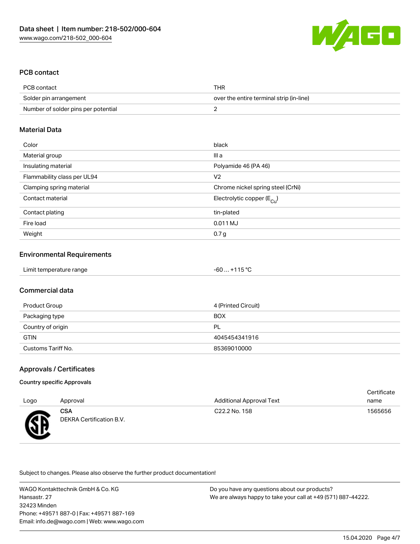

### PCB contact

| PCB contact                         | THR                                      |
|-------------------------------------|------------------------------------------|
| Solder pin arrangement              | over the entire terminal strip (in-line) |
| Number of solder pins per potential |                                          |

#### Material Data

| Color                       | black                                 |
|-----------------------------|---------------------------------------|
| Material group              | III a                                 |
| Insulating material         | Polyamide 46 (PA 46)                  |
| Flammability class per UL94 | V <sub>2</sub>                        |
| Clamping spring material    | Chrome nickel spring steel (CrNi)     |
| Contact material            | Electrolytic copper $(E_{\text{Cl}})$ |
| Contact plating             | tin-plated                            |
| Fire load                   | 0.011 MJ                              |
| Weight                      | 0.7 <sub>g</sub>                      |

#### Environmental Requirements

| Limit temperature range | $-60+115$ °C |
|-------------------------|--------------|
|-------------------------|--------------|

#### Commercial data

| Product Group      | 4 (Printed Circuit) |
|--------------------|---------------------|
| Packaging type     | <b>BOX</b>          |
| Country of origin  | PL                  |
| <b>GTIN</b>        | 4045454341916       |
| Customs Tariff No. | 85369010000         |

#### Approvals / Certificates

#### Country specific Approvals

| Logo | Approval                        | <b>Additional Approval Text</b> | Certificate<br>name |
|------|---------------------------------|---------------------------------|---------------------|
| æ    | CSA<br>DEKRA Certification B.V. | C <sub>22.2</sub> No. 158       | 1565656             |

Subject to changes. Please also observe the further product documentation!

WAGO Kontakttechnik GmbH & Co. KG Hansastr. 27 32423 Minden Phone: +49571 887-0 | Fax: +49571 887-169 Email: info.de@wago.com | Web: www.wago.com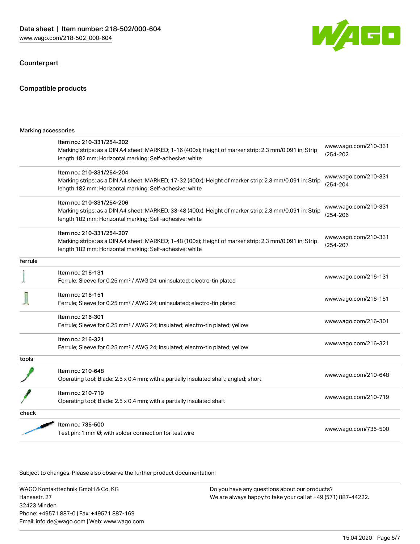#### **Counterpart**



| Marking accessories |                                                                                                                                                                                                 |                                  |
|---------------------|-------------------------------------------------------------------------------------------------------------------------------------------------------------------------------------------------|----------------------------------|
|                     | Item no.: 210-331/254-202<br>Marking strips; as a DIN A4 sheet; MARKED; 1-16 (400x); Height of marker strip: 2.3 mm/0.091 in; Strip<br>length 182 mm; Horizontal marking; Self-adhesive; white  | www.wago.com/210-331<br>/254-202 |
|                     | Item no.: 210-331/254-204<br>Marking strips; as a DIN A4 sheet; MARKED; 17-32 (400x); Height of marker strip: 2.3 mm/0.091 in; Strip<br>length 182 mm; Horizontal marking; Self-adhesive; white | www.wago.com/210-331<br>/254-204 |
|                     | Item no.: 210-331/254-206<br>Marking strips; as a DIN A4 sheet; MARKED; 33-48 (400x); Height of marker strip: 2.3 mm/0.091 in; Strip<br>length 182 mm; Horizontal marking; Self-adhesive; white | www.wago.com/210-331<br>/254-206 |
|                     | Item no.: 210-331/254-207<br>Marking strips; as a DIN A4 sheet; MARKED; 1-48 (100x); Height of marker strip: 2.3 mm/0.091 in; Strip<br>length 182 mm; Horizontal marking; Self-adhesive; white  | www.wago.com/210-331<br>/254-207 |
| ferrule             |                                                                                                                                                                                                 |                                  |
|                     | Item no.: 216-131<br>Ferrule; Sleeve for 0.25 mm <sup>2</sup> / AWG 24; uninsulated; electro-tin plated                                                                                         | www.wago.com/216-131             |
|                     | Item no.: 216-151<br>Ferrule; Sleeve for 0.25 mm <sup>2</sup> / AWG 24; uninsulated; electro-tin plated                                                                                         | www.wago.com/216-151             |
|                     | Item no.: 216-301<br>Ferrule; Sleeve for 0.25 mm <sup>2</sup> / AWG 24; insulated; electro-tin plated; yellow                                                                                   | www.wago.com/216-301             |
|                     | Item no.: 216-321<br>Ferrule; Sleeve for 0.25 mm <sup>2</sup> / AWG 24; insulated; electro-tin plated; yellow                                                                                   | www.wago.com/216-321             |
| tools               |                                                                                                                                                                                                 |                                  |
|                     | Item no.: 210-648<br>Operating tool; Blade: 2.5 x 0.4 mm; with a partially insulated shaft; angled; short                                                                                       | www.wago.com/210-648             |
|                     | Item no.: 210-719<br>Operating tool; Blade: 2.5 x 0.4 mm; with a partially insulated shaft                                                                                                      | www.wago.com/210-719             |
| check               |                                                                                                                                                                                                 |                                  |
|                     | Item no.: 735-500<br>Test pin; 1 mm Ø; with solder connection for test wire                                                                                                                     | www.wago.com/735-500             |
|                     |                                                                                                                                                                                                 |                                  |

.<br>Subject to changes. Please also observe the further product documentation!

WAGO Kontakttechnik GmbH & Co. KG Hansastr. 27 32423 Minden Phone: +49571 887-0 | Fax: +49571 887-169 Email: info.de@wago.com | Web: www.wago.com

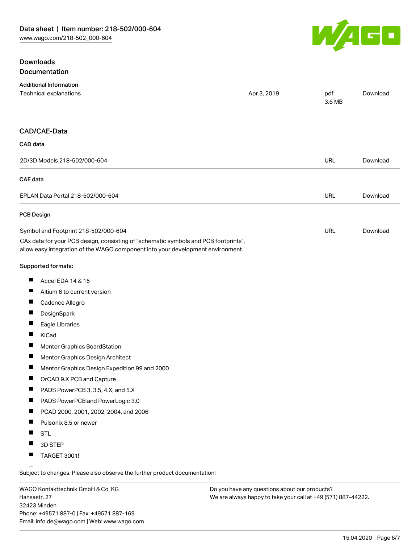

## **Downloads** Documentation

| <b>Additional Information</b>                                                                                                                                          |             |               |          |
|------------------------------------------------------------------------------------------------------------------------------------------------------------------------|-------------|---------------|----------|
| Technical explanations                                                                                                                                                 | Apr 3, 2019 | pdf<br>3.6 MB | Download |
|                                                                                                                                                                        |             |               |          |
| CAD/CAE-Data                                                                                                                                                           |             |               |          |
| CAD data                                                                                                                                                               |             |               |          |
| 2D/3D Models 218-502/000-604                                                                                                                                           |             | <b>URL</b>    | Download |
| CAE data                                                                                                                                                               |             |               |          |
| EPLAN Data Portal 218-502/000-604                                                                                                                                      |             | <b>URL</b>    | Download |
| <b>PCB Design</b>                                                                                                                                                      |             |               |          |
| Symbol and Footprint 218-502/000-604                                                                                                                                   |             | <b>URL</b>    | Download |
| CAx data for your PCB design, consisting of "schematic symbols and PCB footprints",<br>allow easy integration of the WAGO component into your development environment. |             |               |          |
| Supported formats:                                                                                                                                                     |             |               |          |
| ш<br>Accel EDA 14 & 15                                                                                                                                                 |             |               |          |
| ш<br>Altium 6 to current version                                                                                                                                       |             |               |          |
| ш<br>Cadence Allegro                                                                                                                                                   |             |               |          |
| Ц<br>DesignSpark                                                                                                                                                       |             |               |          |
| ш<br>Eagle Libraries                                                                                                                                                   |             |               |          |
| H<br>KiCad                                                                                                                                                             |             |               |          |
| Ц<br>Mentor Graphics BoardStation                                                                                                                                      |             |               |          |
| ш<br>Mentor Graphics Design Architect                                                                                                                                  |             |               |          |
| L<br>Mentor Graphics Design Expedition 99 and 2000                                                                                                                     |             |               |          |
| ш<br>OrCAD 9.X PCB and Capture                                                                                                                                         |             |               |          |
| PADS PowerPCB 3, 3.5, 4.X, and 5.X<br>$\mathbf{r}$                                                                                                                     |             |               |          |
| ш<br>PADS PowerPCB and PowerLogic 3.0                                                                                                                                  |             |               |          |
| $\blacksquare$<br>PCAD 2000, 2001, 2002, 2004, and 2006                                                                                                                |             |               |          |
| $\blacksquare$<br>Pulsonix 8.5 or newer                                                                                                                                |             |               |          |
| H<br><b>STL</b>                                                                                                                                                        |             |               |          |
| 3D STEP                                                                                                                                                                |             |               |          |
| <b>TARGET 3001!</b>                                                                                                                                                    |             |               |          |
|                                                                                                                                                                        |             |               |          |

Subject to changes. Please also observe the further product documentation!

WAGO Kontakttechnik GmbH & Co. KG Hansastr. 27 32423 Minden Phone: +49571 887-0 | Fax: +49571 887-169 Email: info.de@wago.com | Web: www.wago.com